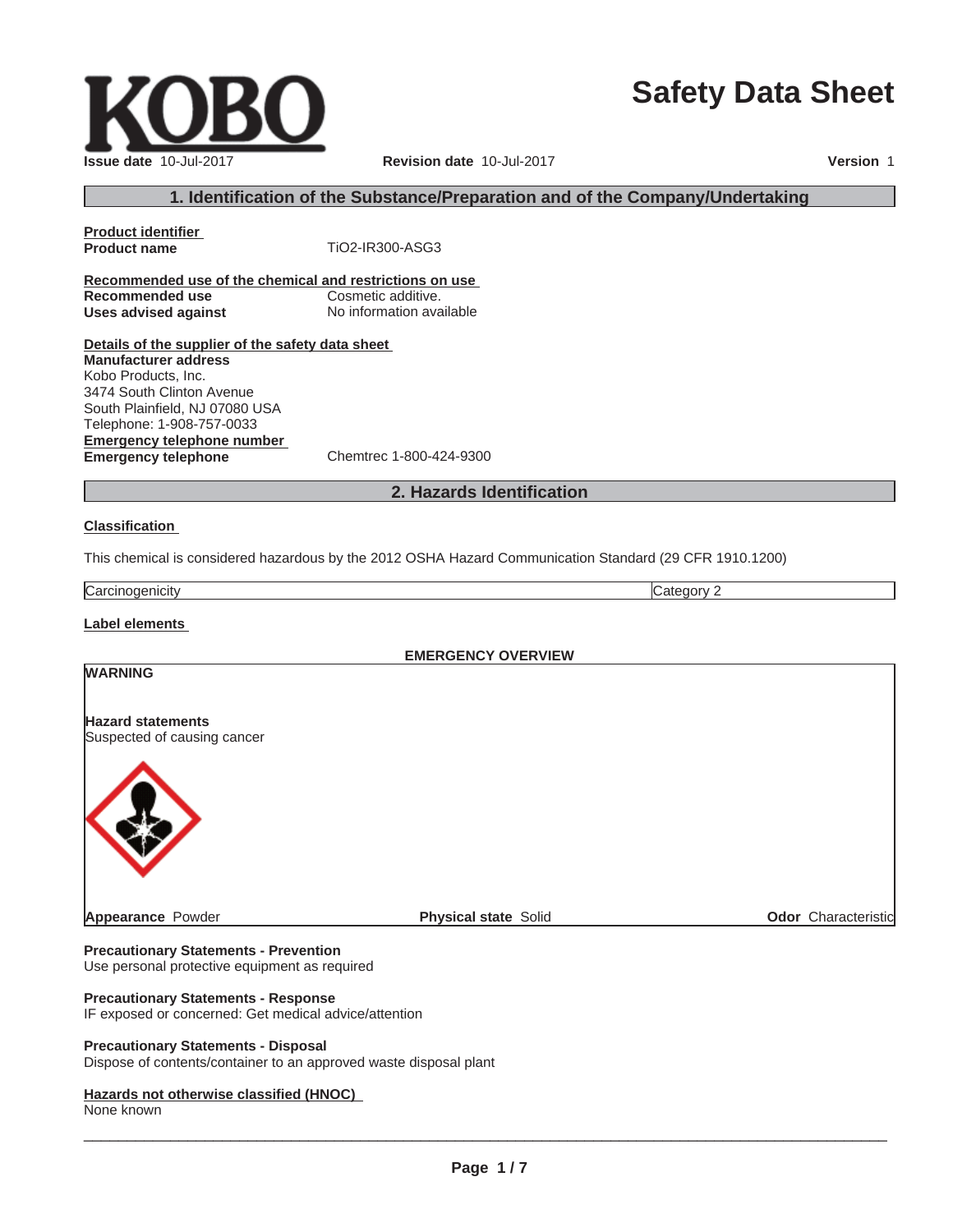# **Safety Data Sheet**

 $\_$  ,  $\_$  ,  $\_$  ,  $\_$  ,  $\_$  ,  $\_$  ,  $\_$  ,  $\_$  ,  $\_$  ,  $\_$  ,  $\_$  ,  $\_$  ,  $\_$  ,  $\_$  ,  $\_$  ,  $\_$  ,  $\_$  ,  $\_$  ,  $\_$  ,  $\_$  ,  $\_$  ,  $\_$  ,  $\_$  ,  $\_$  ,  $\_$  ,  $\_$  ,  $\_$  ,  $\_$  ,  $\_$  ,  $\_$  ,  $\_$  ,  $\_$  ,  $\_$  ,  $\_$  ,  $\_$  ,  $\_$  ,  $\_$  ,

# **1. Identification of the Substance/Preparation and of the Company/Undertaking**

**Product identifier Product name** TiO2-IR300-ASG3 **Recommended use of the chemical and restrictions on use Recommended use Cosmetic additive. Uses advised against** No information available

**Details of the supplier of the safety data sheet Manufacturer address** Kobo Products, Inc. 3474 South Clinton Avenue

**Emergency telephone number Emergency telephone** Chemtrec 1-800-424-9300 South Plainfield, NJ 07080 USA Telephone: 1-908-757-0033

# **2. Hazards Identification**

#### **Classification**

This chemical is considered hazardous by the 2012 OSHA Hazard Communication Standard (29 CFR 1910.1200)

**Carcinogenicity** Category 2

**Label elements**

**WARNING**

**EMERGENCY OVERVIEW**

**Appearance** Powder **Physical state** Solid **Physical state** Solid **Physical State** Solid **Odor** Characteristic

**Precautionary Statements - Prevention** Use personal protective equipment as required

#### **Precautionary Statements - Response**

IF exposed or concerned: Get medical advice/attention

#### **Precautionary Statements - Disposal**

Dispose of contents/container to an approved waste disposal plant

#### **Hazards not otherwise classified (HNOC)**

None known



**Hazard statements**

**Issue date** 10-Jul-2017 **Revision date** 10-Jul-2017 **Version** 1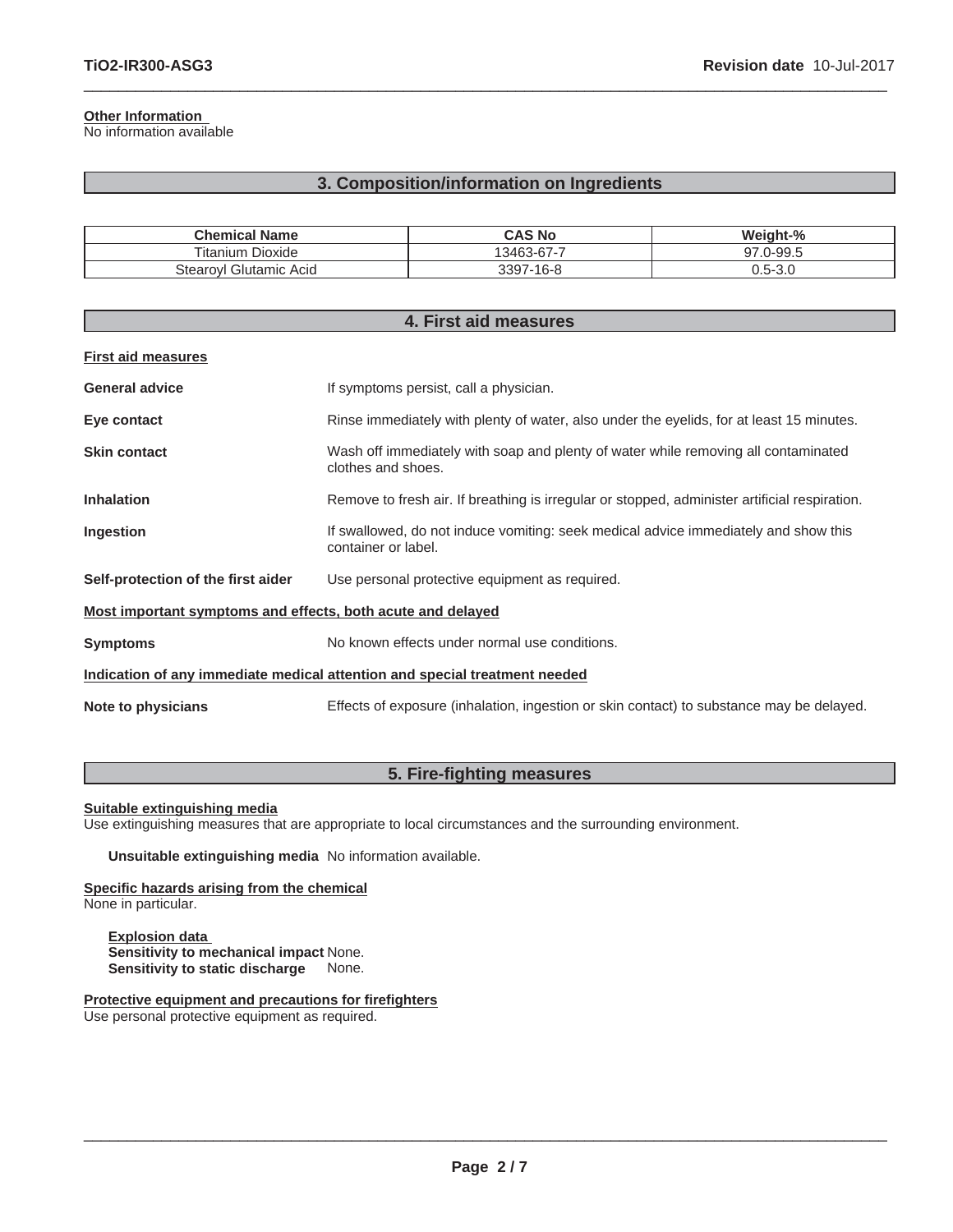### **Other Information**

No information available

# **3. Composition/information on Ingredients**

 $\_$  ,  $\_$  ,  $\_$  ,  $\_$  ,  $\_$  ,  $\_$  ,  $\_$  ,  $\_$  ,  $\_$  ,  $\_$  ,  $\_$  ,  $\_$  ,  $\_$  ,  $\_$  ,  $\_$  ,  $\_$  ,  $\_$  ,  $\_$  ,  $\_$  ,  $\_$  ,  $\_$  ,  $\_$  ,  $\_$  ,  $\_$  ,  $\_$  ,  $\_$  ,  $\_$  ,  $\_$  ,  $\_$  ,  $\_$  ,  $\_$  ,  $\_$  ,  $\_$  ,  $\_$  ,  $\_$  ,  $\_$  ,  $\_$  ,

| <b>Chemical Name</b>            | CAS No          | Weight-%       |
|---------------------------------|-----------------|----------------|
| $- \cdot$ .<br>Fitanium Dioxide | 13463-67-7      | $J-99.5$<br>77 |
| Glutamic Acid<br>Stearovl       | 3397.<br>7-16-8 | 0.5-3.0        |

| 4. First aid measures                                                      |                                                                                                            |  |
|----------------------------------------------------------------------------|------------------------------------------------------------------------------------------------------------|--|
| <b>First aid measures</b>                                                  |                                                                                                            |  |
| <b>General advice</b>                                                      | If symptoms persist, call a physician.                                                                     |  |
| Eye contact                                                                | Rinse immediately with plenty of water, also under the eyelids, for at least 15 minutes.                   |  |
| <b>Skin contact</b>                                                        | Wash off immediately with soap and plenty of water while removing all contaminated<br>clothes and shoes.   |  |
| <b>Inhalation</b>                                                          | Remove to fresh air. If breathing is irregular or stopped, administer artificial respiration.              |  |
| Ingestion                                                                  | If swallowed, do not induce vomiting: seek medical advice immediately and show this<br>container or label. |  |
| Self-protection of the first aider                                         | Use personal protective equipment as required.                                                             |  |
| Most important symptoms and effects, both acute and delayed                |                                                                                                            |  |
| <b>Symptoms</b>                                                            | No known effects under normal use conditions.                                                              |  |
| Indication of any immediate medical attention and special treatment needed |                                                                                                            |  |
| Note to physicians                                                         | Effects of exposure (inhalation, ingestion or skin contact) to substance may be delayed.                   |  |

# **5. Fire-fighting measures**

# **Suitable extinguishing media**

Use extinguishing measures that are appropriate to local circumstances and the surrounding environment.

**Unsuitable extinguishing media** No information available.

**Specific hazards arising from the chemical** None in particular.

**Explosion data Sensitivity to mechanical impact** None. **Sensitivity to static discharge** None.

**Protective equipment and precautions for firefighters** Use personal protective equipment as required.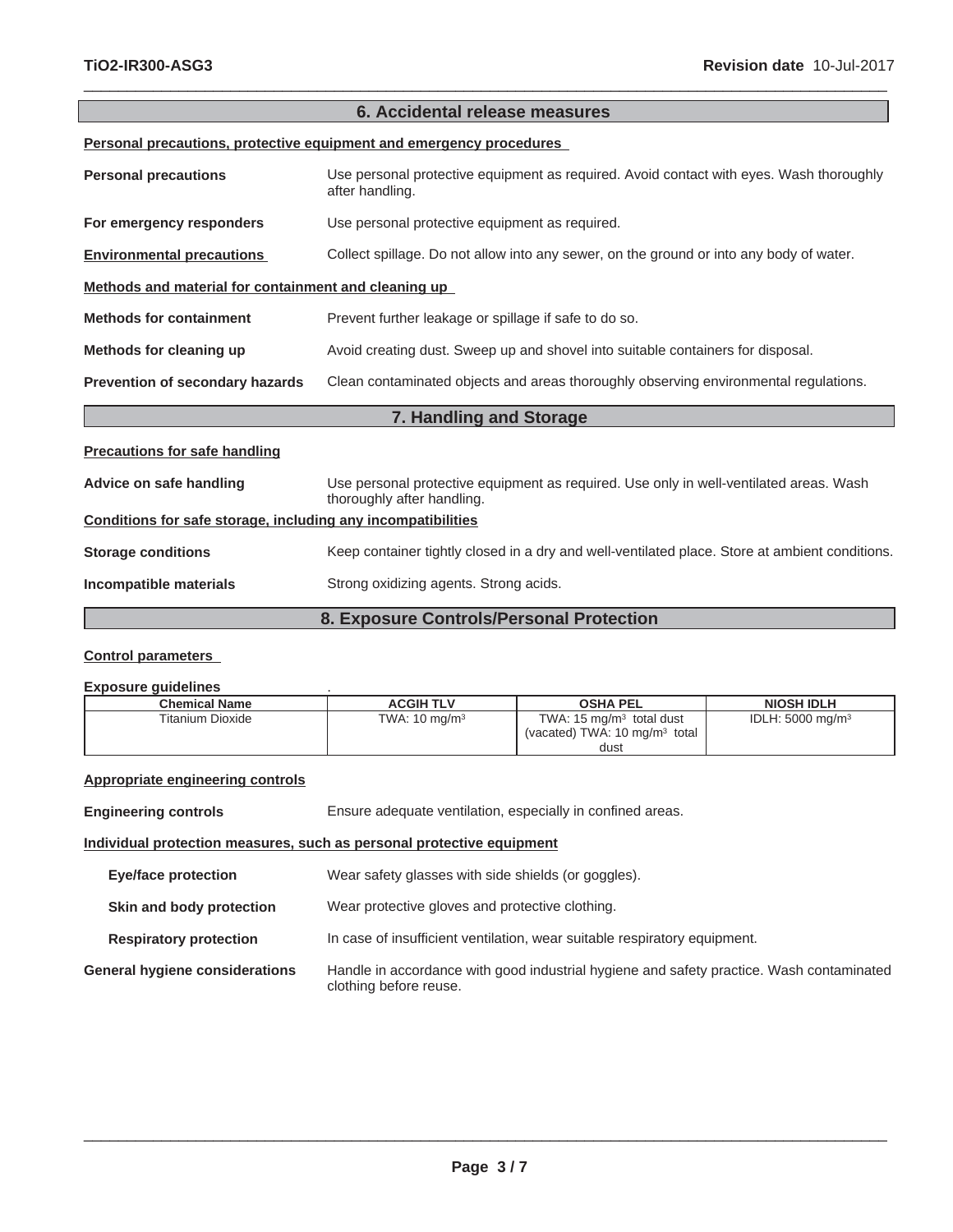| 6. Accidental release measures                                      |                                                                                                                      |  |
|---------------------------------------------------------------------|----------------------------------------------------------------------------------------------------------------------|--|
| Personal precautions, protective equipment and emergency procedures |                                                                                                                      |  |
| <b>Personal precautions</b>                                         | Use personal protective equipment as required. Avoid contact with eyes. Wash thoroughly<br>after handling.           |  |
| For emergency responders                                            | Use personal protective equipment as required.                                                                       |  |
| <b>Environmental precautions</b>                                    | Collect spillage. Do not allow into any sewer, on the ground or into any body of water.                              |  |
| Methods and material for containment and cleaning up                |                                                                                                                      |  |
| <b>Methods for containment</b>                                      | Prevent further leakage or spillage if safe to do so.                                                                |  |
| Methods for cleaning up                                             | Avoid creating dust. Sweep up and shovel into suitable containers for disposal.                                      |  |
| Prevention of secondary hazards                                     | Clean contaminated objects and areas thoroughly observing environmental regulations.                                 |  |
|                                                                     | 7. Handling and Storage                                                                                              |  |
| <b>Precautions for safe handling</b>                                |                                                                                                                      |  |
| Advice on safe handling                                             | Use personal protective equipment as required. Use only in well-ventilated areas. Wash<br>thoroughly after handling. |  |
| Conditions for safe storage, including any incompatibilities        |                                                                                                                      |  |
| <b>Storage conditions</b>                                           | Keep container tightly closed in a dry and well-ventilated place. Store at ambient conditions.                       |  |
| Incompatible materials                                              | Strong oxidizing agents. Strong acids.                                                                               |  |
| 8. Exposure Controls/Personal Protection                            |                                                                                                                      |  |

 $\_$  ,  $\_$  ,  $\_$  ,  $\_$  ,  $\_$  ,  $\_$  ,  $\_$  ,  $\_$  ,  $\_$  ,  $\_$  ,  $\_$  ,  $\_$  ,  $\_$  ,  $\_$  ,  $\_$  ,  $\_$  ,  $\_$  ,  $\_$  ,  $\_$  ,  $\_$  ,  $\_$  ,  $\_$  ,  $\_$  ,  $\_$  ,  $\_$  ,  $\_$  ,  $\_$  ,  $\_$  ,  $\_$  ,  $\_$  ,  $\_$  ,  $\_$  ,  $\_$  ,  $\_$  ,  $\_$  ,  $\_$  ,  $\_$  ,

# **Control parameters**

#### **Exposure guidelines** .

| <b>Chemical Name</b> | <b>ACGIH TLV</b>         | <b>OSHA PEL</b>                                                                         | <b>NIOSH IDLH</b>           |
|----------------------|--------------------------|-----------------------------------------------------------------------------------------|-----------------------------|
| Titanium Dioxide     | TWA: $10 \text{ mg/m}^3$ | TWA: $15 \text{ mg/m}^3$ total dust<br>(vacated) TWA: $10 \text{ mg/m}^3$ total<br>dust | IDLH: $5000 \text{ mg/m}^3$ |

# **Appropriate engineering controls**

| <b>Engineering controls</b>           | Ensure adequate ventilation, especially in confined areas.                                                         |  |
|---------------------------------------|--------------------------------------------------------------------------------------------------------------------|--|
|                                       | Individual protection measures, such as personal protective equipment                                              |  |
| Eye/face protection                   | Wear safety glasses with side shields (or goggles).                                                                |  |
| Skin and body protection              | Wear protective gloves and protective clothing.                                                                    |  |
| <b>Respiratory protection</b>         | In case of insufficient ventilation, wear suitable respiratory equipment.                                          |  |
| <b>General hygiene considerations</b> | Handle in accordance with good industrial hygiene and safety practice. Wash contaminated<br>clothing before reuse. |  |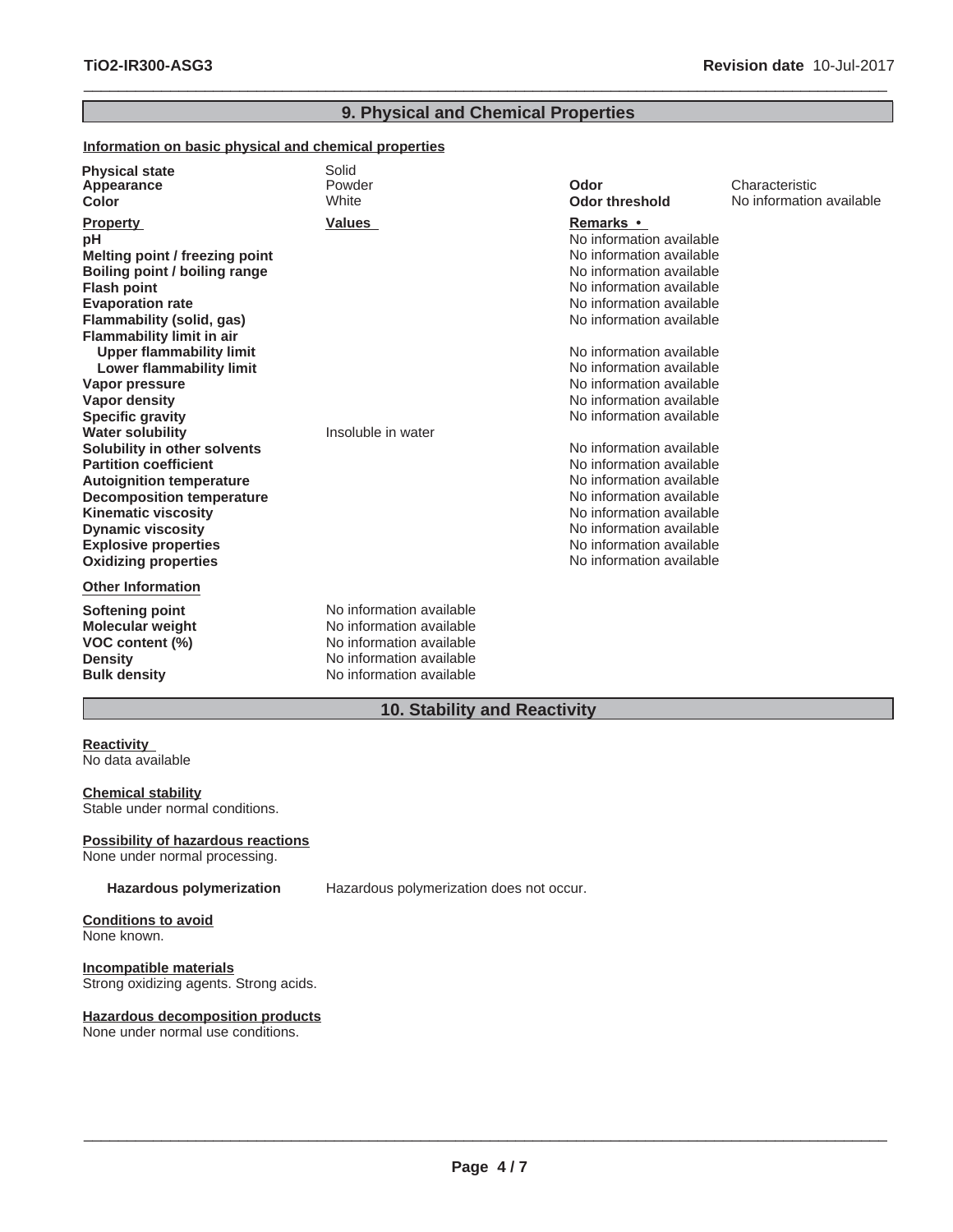information available

# $\_$  ,  $\_$  ,  $\_$  ,  $\_$  ,  $\_$  ,  $\_$  ,  $\_$  ,  $\_$  ,  $\_$  ,  $\_$  ,  $\_$  ,  $\_$  ,  $\_$  ,  $\_$  ,  $\_$  ,  $\_$  ,  $\_$  ,  $\_$  ,  $\_$  ,  $\_$  ,  $\_$  ,  $\_$  ,  $\_$  ,  $\_$  ,  $\_$  ,  $\_$  ,  $\_$  ,  $\_$  ,  $\_$  ,  $\_$  ,  $\_$  ,  $\_$  ,  $\_$  ,  $\_$  ,  $\_$  ,  $\_$  ,  $\_$  , **9. Physical and Chemical Properties**

#### **Information on basic physical and chemical properties**

| <b>Physical state</b><br>Appearance<br>Color                                                                                                                                                                                                                                                                               | Solid<br>Powder<br>White                                                                                                                 | Odor<br><b>Odor threshold</b>                                                                                                                                                                                                                                                                            | Characteristic<br>No information |
|----------------------------------------------------------------------------------------------------------------------------------------------------------------------------------------------------------------------------------------------------------------------------------------------------------------------------|------------------------------------------------------------------------------------------------------------------------------------------|----------------------------------------------------------------------------------------------------------------------------------------------------------------------------------------------------------------------------------------------------------------------------------------------------------|----------------------------------|
| <b>Property</b><br>рH<br>Melting point / freezing point<br>Boiling point / boiling range<br><b>Flash point</b><br><b>Evaporation rate</b><br>Flammability (solid, gas)<br><b>Flammability limit in air</b><br><b>Upper flammability limit</b><br><b>Lower flammability limit</b><br>Vapor pressure<br><b>Vapor density</b> | <b>Values</b>                                                                                                                            | <b>Remarks</b> •<br>No information available<br>No information available<br>No information available<br>No information available<br>No information available<br>No information available<br>No information available<br>No information available<br>No information available<br>No information available |                                  |
| <b>Specific gravity</b><br><b>Water solubility</b><br>Solubility in other solvents<br><b>Partition coefficient</b><br><b>Autoignition temperature</b><br><b>Decomposition temperature</b><br><b>Kinematic viscosity</b><br><b>Dynamic viscosity</b><br><b>Explosive properties</b><br><b>Oxidizing properties</b>          | Insoluble in water                                                                                                                       | No information available<br>No information available<br>No information available<br>No information available<br>No information available<br>No information available<br>No information available<br>No information available<br>No information available                                                 |                                  |
| <b>Other Information</b><br><b>Softening point</b><br><b>Molecular weight</b><br>VOC content (%)<br><b>Density</b><br><b>Bulk density</b>                                                                                                                                                                                  | No information available<br>No information available<br>No information available<br>No information available<br>No information available |                                                                                                                                                                                                                                                                                                          |                                  |

**10. Stability and Reactivity**

#### **Reactivity** No data available

**Chemical stability** Stable under normal conditions.

#### **Possibility of hazardous reactions**

None under normal processing.

**Hazardous polymerization** Hazardous polymerization does not occur.

**Conditions to avoid** None known.

# **Incompatible materials**

Strong oxidizing agents. Strong acids.

#### **Hazardous decomposition products**

None under normal use conditions.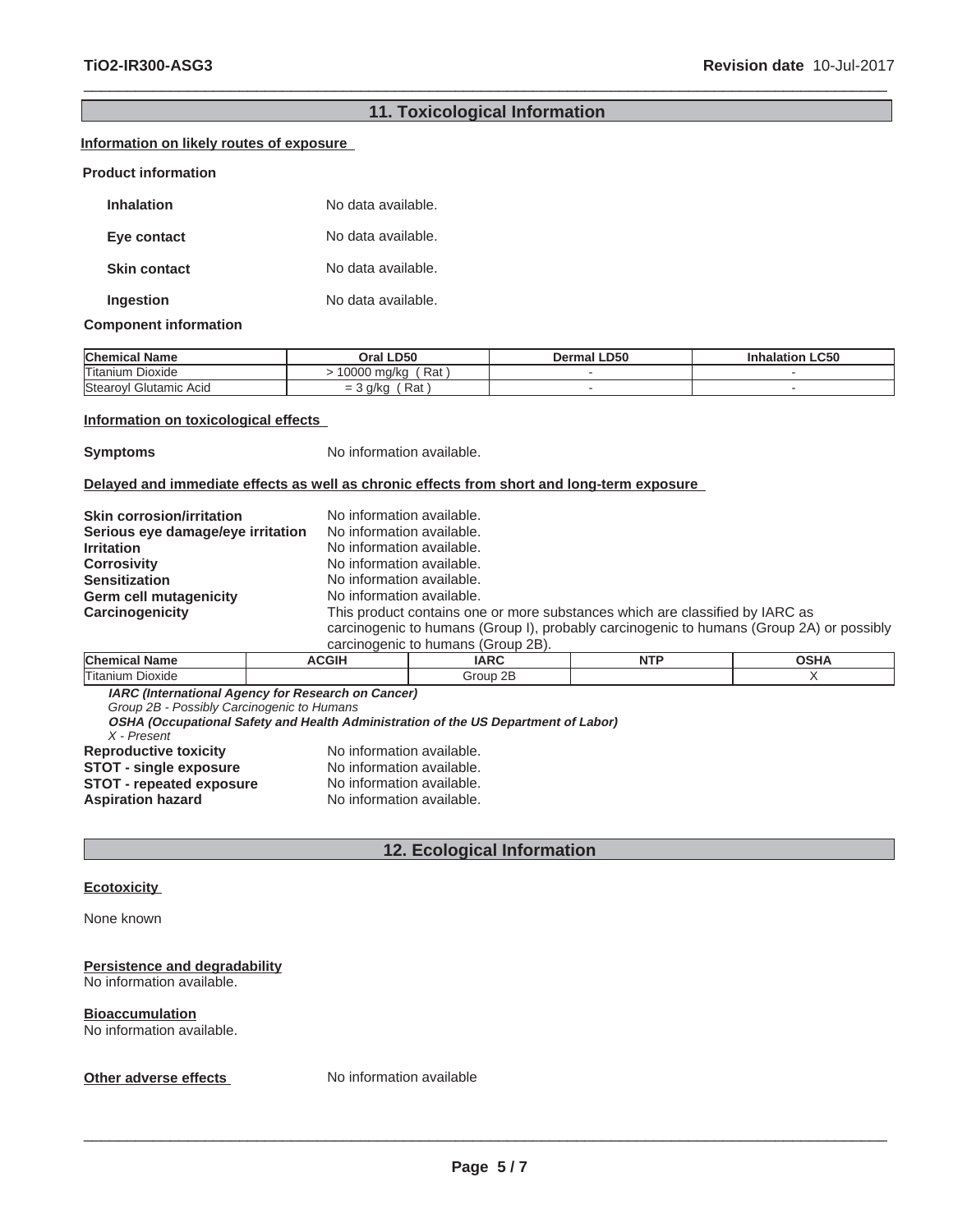# $\_$  ,  $\_$  ,  $\_$  ,  $\_$  ,  $\_$  ,  $\_$  ,  $\_$  ,  $\_$  ,  $\_$  ,  $\_$  ,  $\_$  ,  $\_$  ,  $\_$  ,  $\_$  ,  $\_$  ,  $\_$  ,  $\_$  ,  $\_$  ,  $\_$  ,  $\_$  ,  $\_$  ,  $\_$  ,  $\_$  ,  $\_$  ,  $\_$  ,  $\_$  ,  $\_$  ,  $\_$  ,  $\_$  ,  $\_$  ,  $\_$  ,  $\_$  ,  $\_$  ,  $\_$  ,  $\_$  ,  $\_$  ,  $\_$  , **11. Toxicological Information**

#### **Information on likely routes of exposure**

#### **Product information**

| <b>Inhalation</b>   | No data available. |
|---------------------|--------------------|
| Eye contact         | No data available. |
| <b>Skin contact</b> | No data available. |
| Ingestion           | No data available. |

#### **Component information**

| <b>Chemical Name</b>       | <b>LD50</b><br>Oral I                        | <b>LD50</b><br>Dermal | <b>LC50</b><br>nhalatior |
|----------------------------|----------------------------------------------|-----------------------|--------------------------|
| <b>Titanium</b><br>Dioxide | Rat<br>10000 ma/ka                           |                       |                          |
| Stearoyl<br>Glutamic Acid  | Rat<br>a/ka<br>$\overline{\phantom{0}}$<br>= |                       |                          |

#### **Information on toxicological effects**

**Symptoms** No information available.

#### **Delayed and immediate effects as well as chronic effects from short and long-term exposure**

| <b>Skin corrosion/irritation</b>  | No information available.                                                                                                                                                                                      |
|-----------------------------------|----------------------------------------------------------------------------------------------------------------------------------------------------------------------------------------------------------------|
| Serious eye damage/eye irritation | No information available.                                                                                                                                                                                      |
| <b>Irritation</b>                 | No information available.                                                                                                                                                                                      |
| <b>Corrosivity</b>                | No information available.                                                                                                                                                                                      |
| <b>Sensitization</b>              | No information available.                                                                                                                                                                                      |
| <b>Germ cell mutagenicity</b>     | No information available.                                                                                                                                                                                      |
| <b>Carcinogenicity</b>            | This product contains one or more substances which are classified by IARC as<br>carcinogenic to humans (Group I), probably carcinogenic to humans (Group 2A) or possibly<br>carcinogenic to humans (Group 2B). |

| <b>Cher</b>                 | n                 | <b>A REPORT</b><br>. <b>AIT</b> |  |
|-----------------------------|-------------------|---------------------------------|--|
| Titaniur.<br><b>Dioxide</b> | റല<br>iroup<br>пI |                                 |  |

**IARC (International Agency for Research on Cancer)**

*Group 2B - Possibly Carcinogenic to Humans*

| X - Present                     | OSHA (Occupational Safety and Health Administration of the US Department of Labor) |
|---------------------------------|------------------------------------------------------------------------------------|
| <b>Reproductive toxicity</b>    | No information available.                                                          |
| <b>STOT - single exposure</b>   | No information available.                                                          |
| <b>STOT - repeated exposure</b> | No information available.                                                          |
| <b>Aspiration hazard</b>        | No information available.                                                          |

# **12. Ecological Information**

#### **Ecotoxicity**

None known

#### **Persistence and degradability**

No information available.

#### **Bioaccumulation**

No information available.

**Other adverse effects** No information available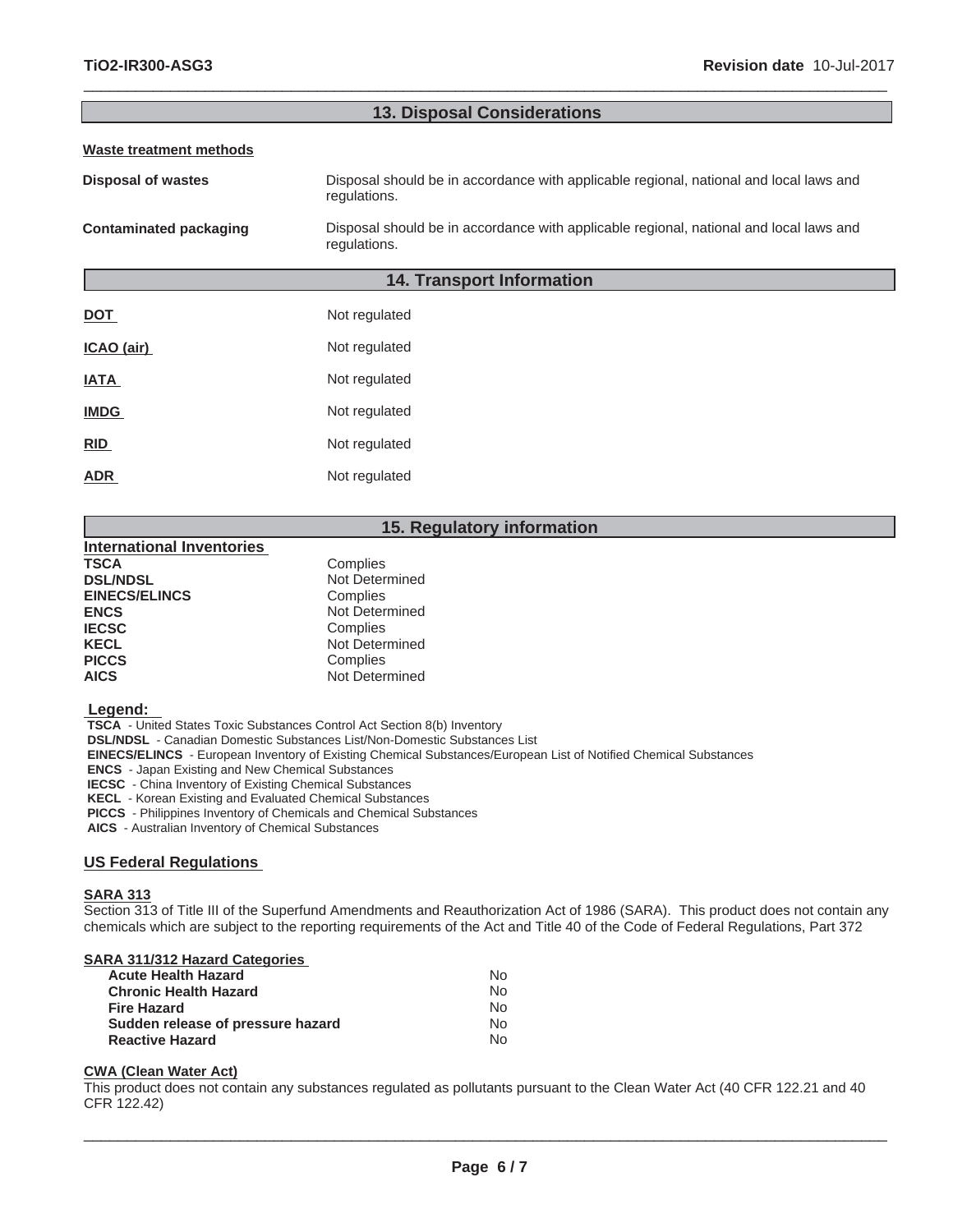| <b>13. Disposal Considerations</b> |                                                                                                        |  |
|------------------------------------|--------------------------------------------------------------------------------------------------------|--|
| <b>Waste treatment methods</b>     |                                                                                                        |  |
| <b>Disposal of wastes</b>          | Disposal should be in accordance with applicable regional, national and local laws and<br>regulations. |  |
| <b>Contaminated packaging</b>      | Disposal should be in accordance with applicable regional, national and local laws and<br>regulations. |  |
|                                    | <b>14. Transport Information</b>                                                                       |  |
| <b>DOT</b>                         | Not regulated                                                                                          |  |
| ICAO (air)                         | Not regulated                                                                                          |  |
| <b>IATA</b>                        | Not regulated                                                                                          |  |
| <b>IMDG</b>                        | Not regulated                                                                                          |  |
| RID                                | Not regulated                                                                                          |  |
| <b>ADR</b>                         | Not regulated                                                                                          |  |
|                                    |                                                                                                        |  |

 $\_$  ,  $\_$  ,  $\_$  ,  $\_$  ,  $\_$  ,  $\_$  ,  $\_$  ,  $\_$  ,  $\_$  ,  $\_$  ,  $\_$  ,  $\_$  ,  $\_$  ,  $\_$  ,  $\_$  ,  $\_$  ,  $\_$  ,  $\_$  ,  $\_$  ,  $\_$  ,  $\_$  ,  $\_$  ,  $\_$  ,  $\_$  ,  $\_$  ,  $\_$  ,  $\_$  ,  $\_$  ,  $\_$  ,  $\_$  ,  $\_$  ,  $\_$  ,  $\_$  ,  $\_$  ,  $\_$  ,  $\_$  ,  $\_$  ,

### **15. Regulatory information**

| <b>International Inventories</b> |                |
|----------------------------------|----------------|
| <b>TSCA</b>                      | Complies       |
| <b>DSL/NDSL</b>                  | Not Determined |
| <b>EINECS/ELINCS</b>             | Complies       |
| <b>ENCS</b>                      | Not Determined |
| <b>IECSC</b>                     | Complies       |
| <b>KECL</b>                      | Not Determined |
| <b>PICCS</b>                     | Complies       |
| <b>AICS</b>                      | Not Determined |
|                                  |                |

#### **Legend:**

 **TSCA** - United States Toxic Substances Control Act Section 8(b) Inventory

 **DSL/NDSL** - Canadian Domestic Substances List/Non-Domestic Substances List

 **EINECS/ELINCS** - European Inventory of Existing Chemical Substances/European List of Notified Chemical Substances

 **ENCS** - Japan Existing and New Chemical Substances

 **IECSC** - China Inventory of Existing Chemical Substances

 **KECL** - Korean Existing and Evaluated Chemical Substances

 **PICCS** - Philippines Inventory of Chemicals and Chemical Substances

 **AICS** - Australian Inventory of Chemical Substances

#### **US Federal Regulations**

#### **SARA 313**

Section 313 of Title III of the Superfund Amendments and Reauthorization Act of 1986 (SARA). This product does not contain any chemicals which are subject to the reporting requirements of the Act and Title 40 of the Code of Federal Regulations, Part 372

### **SARA 311/312 Hazard Categories**

| N٥  |
|-----|
| No. |
| No. |
| No. |
| N٥  |
|     |

#### **CWA (Clean Water Act)**

This product does not contain any substances regulated as pollutants pursuant to the Clean Water Act (40 CFR 122.21 and 40 CFR 122.42)